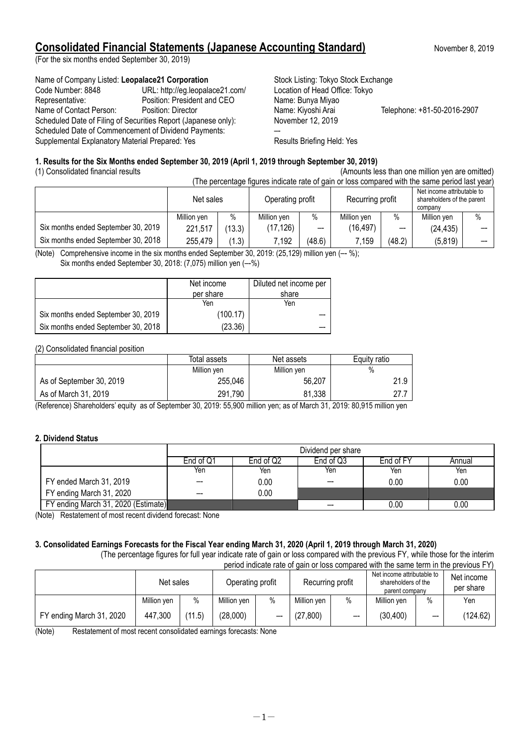# **Consolidated Financial Statements (Japanese Accounting Standard)** November 8, 2019

(For the six months ended September 30, 2019)

#### Name of Company Listed: Leopalace21 Corporation Stock Listing: Tokyo Stock Exchange

Code Number: 8848 URL: http://eg.leopalace21.com/ Location of Head Office: Tokyo Representative: Position: President and CEO Name: Bunya Miyao Name of Contact Person: Position: Director Name: Kiyoshi Arai Telephone: +81-50-2016-2907 Scheduled Date of Filing of Securities Report (Japanese only): November 12, 2019 Scheduled Date of Commencement of Dividend Payments: Supplemental Explanatory Material Prepared: Yes **Results Briefing Held: Yes** Results Briefing Held: Yes

#### **1. Results for the Six Months ended September 30, 2019 (April 1, 2019 through September 30, 2019)**

(1) Consolidated financial results (Amounts less than one million yen are omitted)<br>(The parameters finite indicate attack as is also expressed with the earso paradlel that used

| (The percentage figures indicate rate of gain or loss compared with the same period last year) |             |        |                  |        |                  |        |                                                                     |      |
|------------------------------------------------------------------------------------------------|-------------|--------|------------------|--------|------------------|--------|---------------------------------------------------------------------|------|
|                                                                                                | Net sales   |        | Operating profit |        | Recurring profit |        | Net income attributable to<br>shareholders of the parent<br>company |      |
|                                                                                                | Million ven | $\%$   | Million yen      | $\%$   | Million yen      | $\%$   | Million yen                                                         | $\%$ |
| Six months ended September 30, 2019                                                            | 221,517     | (13.3) | (17, 126)        | $- -$  | (16, 497)        | --     | (24, 435)                                                           |      |
| Six months ended September 30, 2018                                                            | 255,479     | (1.3)  | 7,192            | (48.6) | 7,159            | (48.2) | (5,819)                                                             |      |

(Note) Comprehensive income in the six months ended September 30, 2019:  $(25, 129)$  million yen  $(-8)$ ; Six months ended September 30, 2018: (7,075) million yen (–-%)

|                                     | Net income | Diluted net income per |
|-------------------------------------|------------|------------------------|
|                                     | per share  | share                  |
|                                     | Yen        | Yen                    |
| Six months ended September 30, 2019 | (100.17)   |                        |
| Six months ended September 30, 2018 | (23.36)    |                        |

#### (2) Consolidated financial position

|                          | Total assets | Net assets  | Equity ratio |
|--------------------------|--------------|-------------|--------------|
|                          | Million yen  | Million yen | %            |
| As of September 30, 2019 | 255,046      | 56.207      | 21.9         |
| As of March 31, 2019     | 291,790      | 81.338      | 77<br>41.I   |

(Reference) Shareholders' equity as of September 30, 2019: 55,900 million yen; as of March 31, 2019: 80,915 million yen

#### **2. Dividend Status**

|                                     | Dividend per share |           |           |           |          |
|-------------------------------------|--------------------|-----------|-----------|-----------|----------|
|                                     | End of Q1          | End of Q2 | End of Q3 | End of FY | Annual   |
|                                     | Yen                | Yen       | Yen       | Yen       | Yen      |
| FY ended March 31, 2019             | --                 | $0.00\,$  | --        | 0.00      | 0.00     |
| FY ending March 31, 2020            | --                 | 0.00      |           |           |          |
| FY ending March 31, 2020 (Estimate) |                    |           |           | 0.00      | $0.00\,$ |

(Note) Restatement of most recent dividend forecast: None

## **3. Consolidated Earnings Forecasts for the Fiscal Year ending March 31, 2020 (April 1, 2019 through March 31, 2020)**

(The percentage figures for full year indicate rate of gain or loss compared with the previous FY, while those for the interim period indicate rate of gain or loss compared with the same term in the previous FY)

|                          | Net sales   |        | Operating profit |      | Recurring profit |      | Net income attributable to<br>shareholders of the<br>parent company |      | Net income<br>per share |
|--------------------------|-------------|--------|------------------|------|------------------|------|---------------------------------------------------------------------|------|-------------------------|
|                          | Million yen | $\%$   | Million yen      | $\%$ | Million yen      | $\%$ | Million yen                                                         | $\%$ | Yen                     |
| FY ending March 31, 2020 | 447,300     | (11.5) | (28,000)         |      | (27, 800)        | --   | (30, 400)                                                           | --   | (124.62)                |

(Note) Restatement of most recent consolidated earnings forecasts: None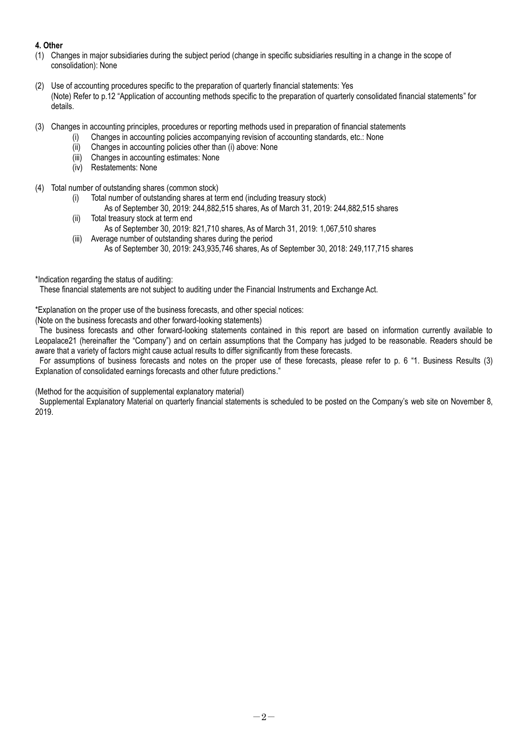### **4. Other**

- (1) Changes in major subsidiaries during the subject period (change in specific subsidiaries resulting in a change in the scope of consolidation): None
- (2) Use of accounting procedures specific to the preparation of quarterly financial statements: Yes (Note) Refer to p.12 "Application of accounting methods specific to the preparation of quarterly consolidated financial statements" for details.
- (3) Changes in accounting principles, procedures or reporting methods used in preparation of financial statements
	- (i) Changes in accounting policies accompanying revision of accounting standards, etc.: None
		- (ii) Changes in accounting policies other than (i) above: None
		- (iii) Changes in accounting estimates: None
		- (iv) Restatements: None
- (4) Total number of outstanding shares (common stock)
	- (i) Total number of outstanding shares at term end (including treasury stock)
		- As of September 30, 2019: 244,882,515 shares, As of March 31, 2019: 244,882,515 shares
	- (ii) Total treasury stock at term end As of September 30, 2019: 821,710 shares, As of March 31, 2019: 1,067,510 shares
	- (iii) Average number of outstanding shares during the period As of September 30, 2019: 243,935,746 shares, As of September 30, 2018: 249,117,715 shares
- \*Indication regarding the status of auditing:

These financial statements are not subject to auditing under the Financial Instruments and Exchange Act.

\*Explanation on the proper use of the business forecasts, and other special notices:

(Note on the business forecasts and other forward-looking statements)

The business forecasts and other forward-looking statements contained in this report are based on information currently available to Leopalace21 (hereinafter the "Company") and on certain assumptions that the Company has judged to be reasonable. Readers should be aware that a variety of factors might cause actual results to differ significantly from these forecasts.

For assumptions of business forecasts and notes on the proper use of these forecasts, please refer to p. 6 "1. Business Results (3) Explanation of consolidated earnings forecasts and other future predictions."

(Method for the acquisition of supplemental explanatory material)

Supplemental Explanatory Material on quarterly financial statements is scheduled to be posted on the Company's web site on November 8, 2019.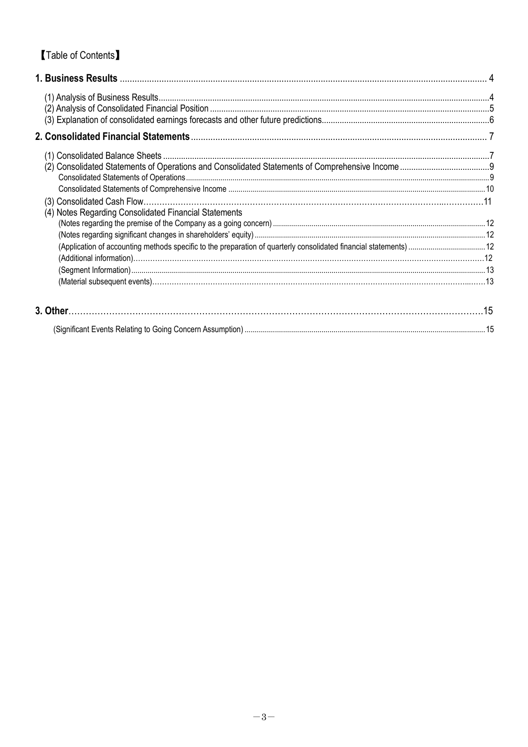# **Table of Contents**

| (4) Notes Regarding Consolidated Financial Statements |  |
|-------------------------------------------------------|--|
|                                                       |  |
|                                                       |  |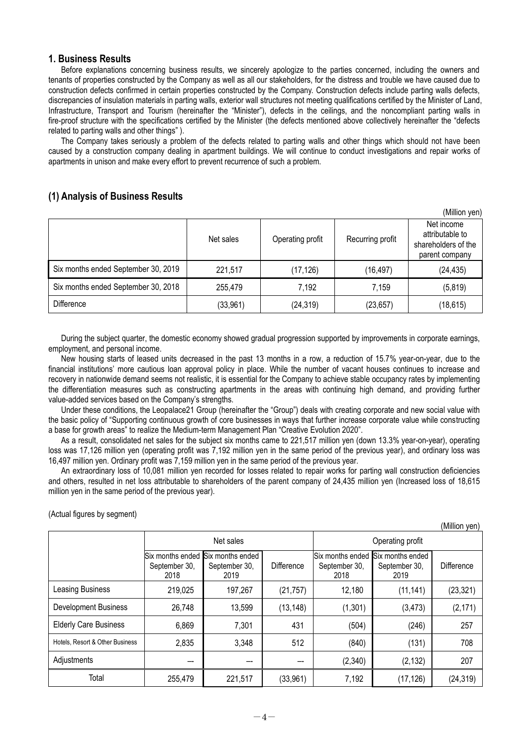#### <span id="page-3-0"></span>**1. Business Results**

Before explanations concerning business results, we sincerely apologize to the parties concerned, including the owners and tenants of properties constructed by the Company as well as all our stakeholders, for the distress and trouble we have caused due to construction defects confirmed in certain properties constructed by the Company. Construction defects include parting walls defects, discrepancies of insulation materials in parting walls, exterior wall structures not meeting qualifications certified by the Minister of Land, Infrastructure, Transport and Tourism (hereinafter the "Minister"), defects in the ceilings, and the noncompliant parting walls in fire-proof structure with the specifications certified by the Minister (the defects mentioned above collectively hereinafter the "defects related to parting walls and other things" ).

The Company takes seriously a problem of the defects related to parting walls and other things which should not have been caused by a construction company dealing in apartment buildings. We will continue to conduct investigations and repair works of apartments in unison and make every effort to prevent recurrence of such a problem.

### <span id="page-3-1"></span>**(1) Analysis of Business Results**

|                                     |           |                  |                  | (Million yen)                                                          |
|-------------------------------------|-----------|------------------|------------------|------------------------------------------------------------------------|
|                                     | Net sales | Operating profit | Recurring profit | Net income<br>attributable to<br>shareholders of the<br>parent company |
| Six months ended September 30, 2019 | 221,517   | (17, 126)        | (16, 497)        | (24, 435)                                                              |
| Six months ended September 30, 2018 | 255,479   | 7,192            | 7,159            | (5,819)                                                                |
| <b>Difference</b>                   | (33,961)  | (24, 319)        | (23, 657)        | (18, 615)                                                              |

During the subject quarter, the domestic economy showed gradual progression supported by improvements in corporate earnings, employment, and personal income.

New housing starts of leased units decreased in the past 13 months in a row, a reduction of 15.7% year-on-year, due to the financial institutions' more cautious loan approval policy in place. While the number of vacant houses continues to increase and recovery in nationwide demand seems not realistic, it is essential for the Company to achieve stable occupancy rates by implementing the differentiation measures such as constructing apartments in the areas with continuing high demand, and providing further value-added services based on the Company's strengths.

Under these conditions, the Leopalace21 Group (hereinafter the "Group") deals with creating corporate and new social value with the basic policy of "Supporting continuous growth of core businesses in ways that further increase corporate value while constructing a base for growth areas" to realize the Medium-term Management Plan "Creative Evolution 2020".

As a result, consolidated net sales for the subject six months came to 221,517 million yen (down 13.3% year-on-year), operating loss was 17,126 million yen (operating profit was 7,192 million yen in the same period of the previous year), and ordinary loss was 16,497 million yen. Ordinary profit was 7,159 million yen in the same period of the previous year.

An extraordinary loss of 10,081 million yen recorded for losses related to repair works for parting wall construction deficiencies and others, resulted in net loss attributable to shareholders of the parent company of 24,435 million yen (Increased loss of 18,615 million yen in the same period of the previous year).

(Actual figures by segment)

|                                 |                                           |                                           |            |                       |                                                            | iviiiiion yen).   |  |  |
|---------------------------------|-------------------------------------------|-------------------------------------------|------------|-----------------------|------------------------------------------------------------|-------------------|--|--|
|                                 |                                           | Net sales                                 |            |                       | Operating profit                                           |                   |  |  |
|                                 | Six months ended<br>September 30,<br>2018 | Six months ended<br>September 30,<br>2019 | Difference | September 30,<br>2018 | Six months ended Six months ended<br>September 30,<br>2019 | <b>Difference</b> |  |  |
| Leasing Business                | 219,025                                   | 197,267                                   | (21, 757)  | 12,180                | (11, 141)                                                  | (23, 321)         |  |  |
| <b>Development Business</b>     | 26,748                                    | 13,599                                    | (13, 148)  | (1,301)               | (3, 473)                                                   | (2, 171)          |  |  |
| <b>Elderly Care Business</b>    | 6,869                                     | 7,301                                     | 431        | (504)                 | (246)                                                      | 257               |  |  |
| Hotels. Resort & Other Business | 2,835                                     | 3,348                                     | 512        | (840)                 | (131)                                                      | 708               |  |  |
| Adjustments                     |                                           |                                           |            | (2,340)               | (2, 132)                                                   | 207               |  |  |
| Total                           | 255,479                                   | 221,517                                   | (33, 961)  | 7,192                 | (17, 126)                                                  | (24, 319)         |  |  |

 $-4-$ 

 $($ Million yen)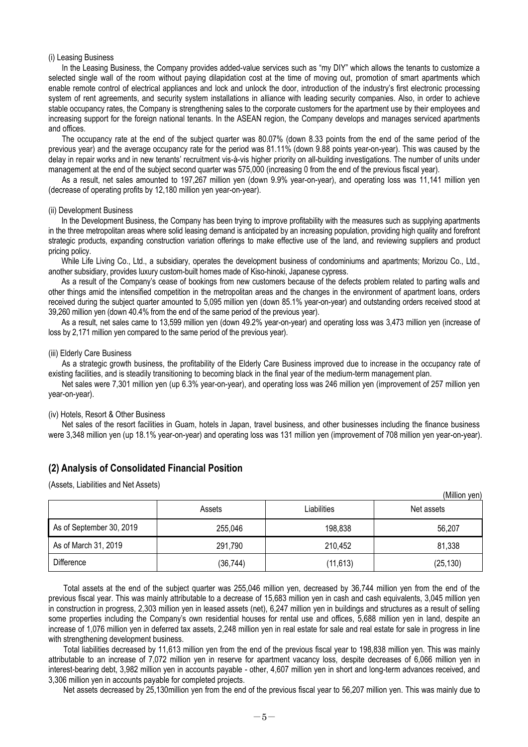#### (i) Leasing Business

In the Leasing Business, the Company provides added-value services such as "my DIY" which allows the tenants to customize a selected single wall of the room without paying dilapidation cost at the time of moving out, promotion of smart apartments which enable remote control of electrical appliances and lock and unlock the door, introduction of the industry's first electronic processing system of rent agreements, and security system installations in alliance with leading security companies. Also, in order to achieve stable occupancy rates, the Company is strengthening sales to the corporate customers for the apartment use by their employees and increasing support for the foreign national tenants. In the ASEAN region, the Company develops and manages serviced apartments and offices.

The occupancy rate at the end of the subject quarter was 80.07% (down 8.33 points from the end of the same period of the previous year) and the average occupancy rate for the period was 81.11% (down 9.88 points year-on-year). This was caused by the delay in repair works and in new tenants' recruitment vis-à-vis higher priority on all-building investigations. The number of units under management at the end of the subject second quarter was 575,000 (increasing 0 from the end of the previous fiscal year).

As a result, net sales amounted to 197,267 million yen (down 9.9% year-on-year), and operating loss was 11,141 million yen (decrease of operating profits by 12,180 million yen year-on-year).

#### (ii) Development Business

In the Development Business, the Company has been trying to improve profitability with the measures such as supplying apartments in the three metropolitan areas where solid leasing demand is anticipated by an increasing population, providing high quality and forefront strategic products, expanding construction variation offerings to make effective use of the land, and reviewing suppliers and product pricing policy.

While Life Living Co., Ltd., a subsidiary, operates the development business of condominiums and apartments; Morizou Co., Ltd., another subsidiary, provides luxury custom-built homes made of Kiso-hinoki, Japanese cypress.

As a result of the Company's cease of bookings from new customers because of the defects problem related to parting walls and other things amid the intensified competition in the metropolitan areas and the changes in the environment of apartment loans, orders received during the subject quarter amounted to 5,095 million yen (down 85.1% year-on-year) and outstanding orders received stood at 39,260 million yen (down 40.4% from the end of the same period of the previous year).

As a result, net sales came to 13,599 million yen (down 49.2% year-on-year) and operating loss was 3,473 million yen (increase of loss by 2,171 million yen compared to the same period of the previous year).

#### (iii) Elderly Care Business

As a strategic growth business, the profitability of the Elderly Care Business improved due to increase in the occupancy rate of existing facilities, and is steadily transitioning to becoming black in the final year of the medium-term management plan.

Net sales were 7,301 million yen (up 6.3% year-on-year), and operating loss was 246 million yen (improvement of 257 million yen year-on-year).

#### (iv) Hotels, Resort & Other Business

Net sales of the resort facilities in Guam, hotels in Japan, travel business, and other businesses including the finance business were 3,348 million yen (up 18.1% year-on-year) and operating loss was 131 million yen (improvement of 708 million yen year-on-year).

#### <span id="page-4-0"></span>**(2) Analysis of Consolidated Financial Position**

(Assets, Liabilities and Net Assets)

|                          |           |             | (IVIIIIIUIT VEIT) |
|--------------------------|-----------|-------------|-------------------|
|                          | Assets    | Liabilities | Net assets        |
| As of September 30, 2019 | 255,046   | 198,838     | 56.207            |
| As of March 31, 2019     | 291,790   | 210,452     | 81,338            |
| Difference               | (36, 744) | (11, 613)   | (25, 130)         |

 $(M)$ illion yen)

Total assets at the end of the subject quarter was 255,046 million yen, decreased by 36,744 million yen from the end of the previous fiscal year. This was mainly attributable to a decrease of 15,683 million yen in cash and cash equivalents, 3,045 million yen in construction in progress, 2,303 million yen in leased assets (net), 6,247 million yen in buildings and structures as a result of selling some properties including the Company's own residential houses for rental use and offices, 5,688 million yen in land, despite an increase of 1,076 million yen in deferred tax assets, 2,248 million yen in real estate for sale and real estate for sale in progress in line with strengthening development business.

Total liabilities decreased by 11,613 million yen from the end of the previous fiscal year to 198,838 million yen. This was mainly attributable to an increase of 7,072 million yen in reserve for apartment vacancy loss, despite decreases of 6,066 million yen in interest-bearing debt, 3,982 million yen in accounts payable - other, 4,607 million yen in short and long-term advances received, and 3,306 million yen in accounts payable for completed projects.

Net assets decreased by 25,130million yen from the end of the previous fiscal year to 56,207 million yen. This was mainly due to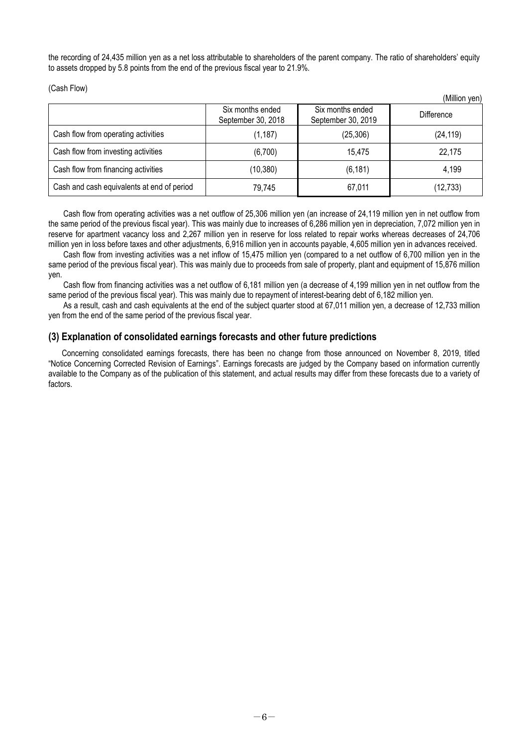the recording of 24,435 million yen as a net loss attributable to shareholders of the parent company. The ratio of shareholders' equity to assets dropped by 5.8 points from the end of the previous fiscal year to 21.9%.

 $(0, 0, 0)$ 

(Cash Flow)

|                                            | Six months ended<br>September 30, 2018 | Six months ended<br>September 30, 2019 | (Million yen)<br><b>Difference</b> |
|--------------------------------------------|----------------------------------------|----------------------------------------|------------------------------------|
| Cash flow from operating activities        | (1, 187)                               | (25, 306)                              | (24, 119)                          |
| Cash flow from investing activities        | (6,700)                                | 15.475                                 | 22,175                             |
| Cash flow from financing activities        | (10, 380)                              | (6, 181)                               | 4,199                              |
| Cash and cash equivalents at end of period | 79,745                                 | 67,011                                 | (12, 733)                          |

Cash flow from operating activities was a net outflow of 25,306 million yen (an increase of 24,119 million yen in net outflow from the same period of the previous fiscal year). This was mainly due to increases of 6,286 million yen in depreciation, 7,072 million yen in reserve for apartment vacancy loss and 2,267 million yen in reserve for loss related to repair works whereas decreases of 24,706 million yen in loss before taxes and other adjustments, 6,916 million yen in accounts payable, 4,605 million yen in advances received.

Cash flow from investing activities was a net inflow of 15,475 million yen (compared to a net outflow of 6,700 million yen in the same period of the previous fiscal year). This was mainly due to proceeds from sale of property, plant and equipment of 15,876 million yen.

Cash flow from financing activities was a net outflow of 6,181 million yen (a decrease of 4,199 million yen in net outflow from the same period of the previous fiscal year). This was mainly due to repayment of interest-bearing debt of 6,182 million yen.

As a result, cash and cash equivalents at the end of the subject quarter stood at 67,011 million yen, a decrease of 12,733 million yen from the end of the same period of the previous fiscal year.

### <span id="page-5-0"></span>**(3) Explanation of consolidated earnings forecasts and other future predictions**

<span id="page-5-1"></span>Concerning consolidated earnings forecasts, there has been no change from those announced on November 8, 2019, titled "Notice Concerning Corrected Revision of Earnings". Earnings forecasts are judged by the Company based on information currently available to the Company as of the publication of this statement, and actual results may differ from these forecasts due to a variety of factors.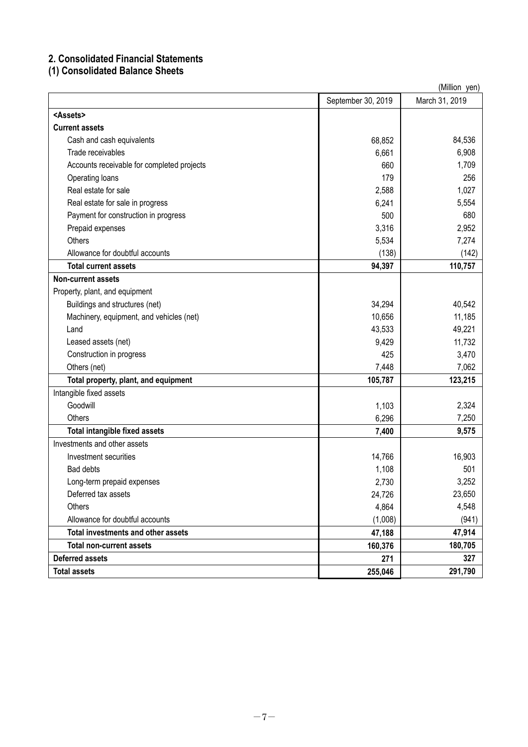## **2. Consolidated Financial Statements**

# <span id="page-6-0"></span>**(1) Consolidated Balance Sheets**

| (Million_yen)                              |                    |                |  |
|--------------------------------------------|--------------------|----------------|--|
|                                            | September 30, 2019 | March 31, 2019 |  |
| <assets></assets>                          |                    |                |  |
| <b>Current assets</b>                      |                    |                |  |
| Cash and cash equivalents                  | 68,852             | 84,536         |  |
| Trade receivables                          | 6,661              | 6,908          |  |
| Accounts receivable for completed projects | 660                | 1,709          |  |
| Operating loans                            | 179                | 256            |  |
| Real estate for sale                       | 2,588              | 1,027          |  |
| Real estate for sale in progress           | 6,241              | 5,554          |  |
| Payment for construction in progress       | 500                | 680            |  |
| Prepaid expenses                           | 3,316              | 2,952          |  |
| Others                                     | 5,534              | 7,274          |  |
| Allowance for doubtful accounts            | (138)              | (142)          |  |
| <b>Total current assets</b>                | 94,397             | 110,757        |  |
| <b>Non-current assets</b>                  |                    |                |  |
| Property, plant, and equipment             |                    |                |  |
| Buildings and structures (net)             | 34,294             | 40,542         |  |
| Machinery, equipment, and vehicles (net)   | 10,656             | 11,185         |  |
| Land                                       | 43,533             | 49,221         |  |
| Leased assets (net)                        | 9,429              | 11,732         |  |
| Construction in progress                   | 425                | 3,470          |  |
| Others (net)                               | 7,448              | 7,062          |  |
| Total property, plant, and equipment       | 105,787            | 123,215        |  |
| Intangible fixed assets                    |                    |                |  |
| Goodwill                                   | 1,103              | 2,324          |  |
| Others                                     | 6,296              | 7,250          |  |
| <b>Total intangible fixed assets</b>       | 7,400              | 9,575          |  |
| Investments and other assets               |                    |                |  |
| Investment securities                      | 14,766             | 16,903         |  |
| Bad debts                                  | 1,108              | 501            |  |
| Long-term prepaid expenses                 | 2,730              | 3,252          |  |
| Deferred tax assets                        | 24,726             | 23,650         |  |
| Others                                     | 4,864              | 4,548          |  |
| Allowance for doubtful accounts            | (1,008)            | (941)          |  |
| Total investments and other assets         | 47,188             | 47,914         |  |
| <b>Total non-current assets</b>            | 160,376            | 180,705        |  |
| <b>Deferred assets</b>                     | 271                | 327            |  |
| <b>Total assets</b>                        | 255,046            | 291,790        |  |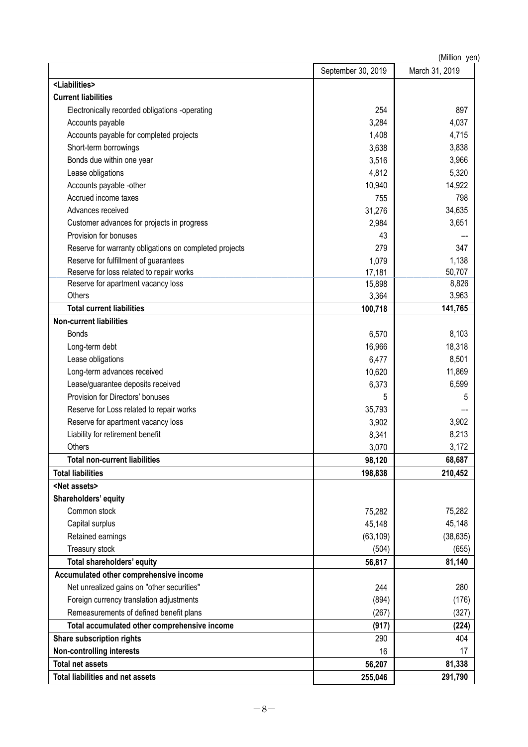| (Million yen)                                          |                    |                |  |
|--------------------------------------------------------|--------------------|----------------|--|
|                                                        | September 30, 2019 | March 31, 2019 |  |
| <liabilities></liabilities>                            |                    |                |  |
| <b>Current liabilities</b>                             |                    |                |  |
| Electronically recorded obligations -operating         | 254                | 897            |  |
| Accounts payable                                       | 3,284              | 4,037          |  |
| Accounts payable for completed projects                | 1,408              | 4,715          |  |
| Short-term borrowings                                  | 3,638              | 3,838          |  |
| Bonds due within one year                              | 3,516              | 3,966          |  |
| Lease obligations                                      | 4,812              | 5,320          |  |
| Accounts payable -other                                | 10,940             | 14,922         |  |
| Accrued income taxes                                   | 755                | 798            |  |
| Advances received                                      | 31,276             | 34,635         |  |
| Customer advances for projects in progress             | 2,984              | 3,651          |  |
| Provision for bonuses                                  | 43                 |                |  |
| Reserve for warranty obligations on completed projects | 279                | 347            |  |
| Reserve for fulfillment of guarantees                  | 1,079              | 1,138          |  |
| Reserve for loss related to repair works               | 17,181             | 50,707         |  |
| Reserve for apartment vacancy loss                     | 15,898             | 8,826          |  |
| Others                                                 | 3,364              | 3,963          |  |
| <b>Total current liabilities</b>                       | 100,718            | 141,765        |  |
| <b>Non-current liabilities</b>                         |                    |                |  |
| <b>Bonds</b>                                           | 6,570              | 8,103          |  |
| Long-term debt                                         | 16,966             | 18,318         |  |
| Lease obligations                                      | 6,477              | 8,501          |  |
| Long-term advances received                            | 10,620             | 11,869         |  |
| Lease/guarantee deposits received                      | 6,373              | 6,599          |  |
| Provision for Directors' bonuses                       | 5                  | 5              |  |
| Reserve for Loss related to repair works               | 35,793             |                |  |
| Reserve for apartment vacancy loss                     | 3,902              | 3,902          |  |
| Liability for retirement benefit                       | 8,341              | 8,213          |  |
| Others                                                 | 3,070              | 3,172          |  |
| <b>Total non-current liabilities</b>                   | 98,120             | 68,687         |  |
| <b>Total liabilities</b>                               | 198,838            | 210,452        |  |
| <net assets=""></net>                                  |                    |                |  |
| Shareholders' equity                                   |                    |                |  |
| Common stock                                           | 75,282             | 75,282         |  |
| Capital surplus                                        | 45,148             | 45,148         |  |
| Retained earnings                                      | (63, 109)          | (38, 635)      |  |
| Treasury stock                                         | (504)              | (655)          |  |
| Total shareholders' equity                             | 56,817             | 81,140         |  |
| Accumulated other comprehensive income                 |                    |                |  |
| Net unrealized gains on "other securities"             | 244                | 280            |  |
| Foreign currency translation adjustments               | (894)              | (176)          |  |
| Remeasurements of defined benefit plans                | (267)              | (327)          |  |
| Total accumulated other comprehensive income           | (917)              | (224)          |  |
| Share subscription rights                              | 290                | 404            |  |
| <b>Non-controlling interests</b>                       | 16                 | 17             |  |
| <b>Total net assets</b>                                | 56,207             | 81,338         |  |
| <b>Total liabilities and net assets</b>                | 255,046            | 291,790        |  |
|                                                        |                    |                |  |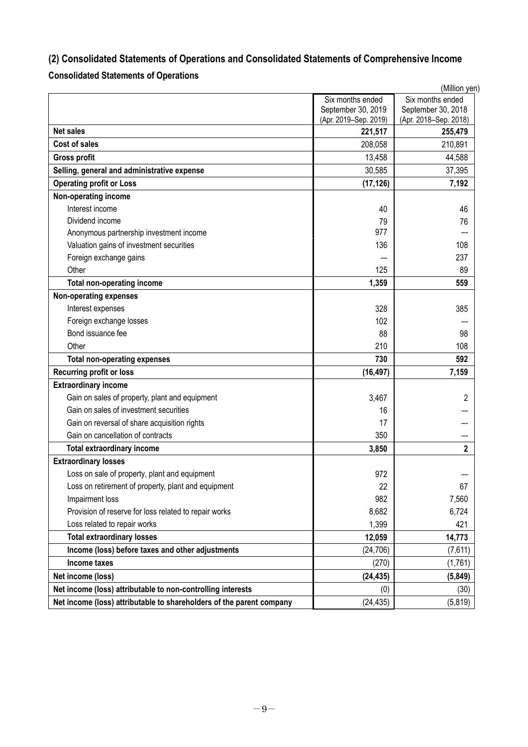# <span id="page-8-0"></span>**(2) Consolidated Statements of Operations and Consolidated Statements of Comprehensive Income**

# <span id="page-8-1"></span>**Consolidated Statements of Operations**

|                                                                      |                                        | (Million yen)                          |
|----------------------------------------------------------------------|----------------------------------------|----------------------------------------|
|                                                                      | Six months ended<br>September 30, 2019 | Six months ended<br>September 30, 2018 |
|                                                                      | (Apr. 2019-Sep. 2019)                  | (Apr. 2018-Sep. 2018)                  |
| <b>Net sales</b>                                                     | 221,517                                | 255,479                                |
| <b>Cost of sales</b>                                                 | 208,058                                | 210,891                                |
| <b>Gross profit</b>                                                  | 13,458                                 | 44,588                                 |
| Selling, general and administrative expense                          | 30,585                                 | 37,395                                 |
| <b>Operating profit or Loss</b>                                      | (17, 126)                              | 7,192                                  |
| Non-operating income                                                 |                                        |                                        |
| Interest income                                                      | 40                                     | 46                                     |
| Dividend income                                                      | 79                                     | 76                                     |
| Anonymous partnership investment income                              | 977                                    |                                        |
| Valuation gains of investment securities                             | 136                                    | 108                                    |
| Foreign exchange gains                                               |                                        | 237                                    |
| Other                                                                | 125                                    | 89                                     |
| <b>Total non-operating income</b>                                    | 1,359                                  | 559                                    |
| Non-operating expenses                                               |                                        |                                        |
| Interest expenses                                                    | 328                                    | 385                                    |
| Foreign exchange losses                                              | 102                                    |                                        |
| Bond issuance fee                                                    | 88                                     | 98                                     |
| Other                                                                | 210                                    | 108                                    |
| <b>Total non-operating expenses</b>                                  | 730                                    | 592                                    |
| <b>Recurring profit or loss</b>                                      | (16, 497)                              | 7,159                                  |
| <b>Extraordinary income</b>                                          |                                        |                                        |
| Gain on sales of property, plant and equipment                       | 3,467                                  | 2                                      |
| Gain on sales of investment securities                               | 16                                     |                                        |
| Gain on reversal of share acquisition rights                         | 17                                     |                                        |
| Gain on cancellation of contracts                                    | 350                                    |                                        |
| <b>Total extraordinary income</b>                                    | 3,850                                  | 2                                      |
| <b>Extraordinary losses</b>                                          |                                        |                                        |
| Loss on sale of property, plant and equipment                        | 972                                    |                                        |
| Loss on retirement of property, plant and equipment                  | 22                                     | 67                                     |
| Impairment loss                                                      | 982                                    | 7,560                                  |
| Provision of reserve for loss related to repair works                | 8,682                                  | 6,724                                  |
| Loss related to repair works                                         | 1,399                                  | 421                                    |
| <b>Total extraordinary losses</b>                                    | 12,059                                 | 14,773                                 |
| Income (loss) before taxes and other adjustments                     | (24, 706)                              | (7,611)                                |
| <b>Income taxes</b>                                                  | (270)                                  | (1,761)                                |
| Net income (loss)                                                    | (24, 435)                              | (5,849)                                |
| Net income (loss) attributable to non-controlling interests          | (0)                                    | (30)                                   |
| Net income (loss) attributable to shareholders of the parent company | (24, 435)                              | (5, 819)                               |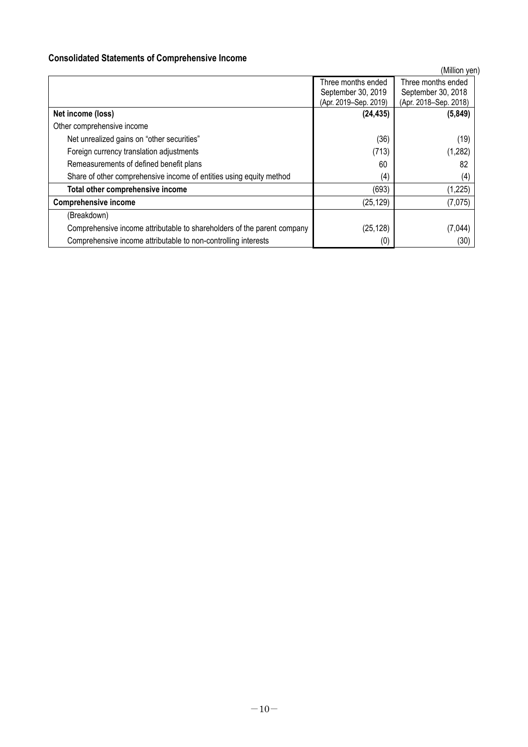### <span id="page-9-0"></span>**Consolidated Statements of Comprehensive Income**

(Million yen) Three months ended September 30, 2019 (Apr. 2019–Sep. 2019) Three months ended September 30, 2018 (Apr. 2018–Sep. 2018) **Net income (loss) (24,435) (5,849)** Other comprehensive income Net unrealized gains on "other securities" (36) (36) (19) Foreign currency translation adjustments (1.282) Remeasurements of defined benefit plans 60 82 Share of other comprehensive income of entities using equity method (4) (4) (4) (4) (4) **Total other comprehensive income** (693) (1,225) **Comprehensive income** (7,075) (Breakdown) Comprehensive income attributable to shareholders of the parent company (25,128) (25,128) (7,044) Comprehensive income attributable to non-controlling interests (0) (30)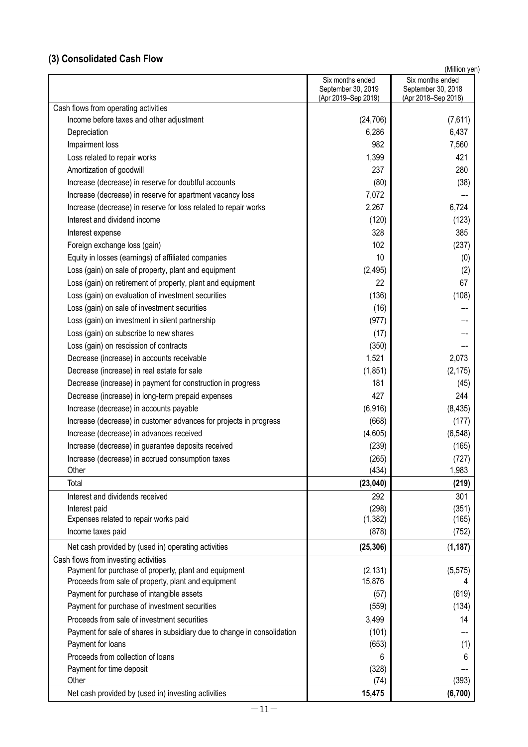# **(3) Consolidated Cash Flow**

| (Million ven) |  |
|---------------|--|
|---------------|--|

|                                                                         | Six months ended<br>September 30, 2019 | Six months ended<br>September 30, 2018 |
|-------------------------------------------------------------------------|----------------------------------------|----------------------------------------|
|                                                                         | (Apr 2019-Sep 2019)                    | (Apr 2018-Sep 2018)                    |
| Cash flows from operating activities                                    |                                        |                                        |
| Income before taxes and other adjustment                                | (24, 706)                              | (7,611)                                |
| Depreciation                                                            | 6,286                                  | 6,437                                  |
| Impairment loss                                                         | 982                                    | 7,560                                  |
| Loss related to repair works                                            | 1,399                                  | 421                                    |
| Amortization of goodwill                                                | 237                                    | 280                                    |
| Increase (decrease) in reserve for doubtful accounts                    | (80)                                   | (38)                                   |
| Increase (decrease) in reserve for apartment vacancy loss               | 7,072                                  |                                        |
| Increase (decrease) in reserve for loss related to repair works         | 2,267                                  | 6,724                                  |
| Interest and dividend income                                            | (120)                                  | (123)                                  |
| Interest expense                                                        | 328                                    | 385                                    |
| Foreign exchange loss (gain)                                            | 102                                    | (237)                                  |
| Equity in losses (earnings) of affiliated companies                     | 10                                     | (0)                                    |
| Loss (gain) on sale of property, plant and equipment                    | (2, 495)                               | (2)                                    |
| Loss (gain) on retirement of property, plant and equipment              | 22                                     | 67                                     |
| Loss (gain) on evaluation of investment securities                      | (136)                                  | (108)                                  |
| Loss (gain) on sale of investment securities                            | (16)                                   |                                        |
| Loss (gain) on investment in silent partnership                         | (977)                                  |                                        |
| Loss (gain) on subscribe to new shares                                  | (17)                                   |                                        |
| Loss (gain) on rescission of contracts                                  | (350)                                  |                                        |
| Decrease (increase) in accounts receivable                              | 1,521                                  | 2,073                                  |
| Decrease (increase) in real estate for sale                             | (1, 851)                               | (2, 175)                               |
| Decrease (increase) in payment for construction in progress             | 181                                    | (45)                                   |
| Decrease (increase) in long-term prepaid expenses                       | 427                                    | 244                                    |
| Increase (decrease) in accounts payable                                 | (6, 916)                               | (8, 435)                               |
| Increase (decrease) in customer advances for projects in progress       | (668)                                  | (177)                                  |
| Increase (decrease) in advances received                                | (4,605)                                | (6, 548)                               |
| Increase (decrease) in guarantee deposits received                      | (239)                                  | (165)                                  |
| Increase (decrease) in accrued consumption taxes                        | (265)                                  | (727)                                  |
| Other                                                                   | (434)                                  | 1,983                                  |
| Total                                                                   | (23, 040)                              | (219)                                  |
| Interest and dividends received                                         | 292                                    | 301                                    |
| Interest paid                                                           | (298)                                  | (351)                                  |
| Expenses related to repair works paid                                   | (1, 382)                               | (165)                                  |
| Income taxes paid                                                       | (878)                                  | (752)                                  |
| Net cash provided by (used in) operating activities                     | (25, 306)                              | (1, 187)                               |
| Cash flows from investing activities                                    |                                        |                                        |
| Payment for purchase of property, plant and equipment                   | (2, 131)                               | (5, 575)                               |
| Proceeds from sale of property, plant and equipment                     | 15,876                                 | 4                                      |
| Payment for purchase of intangible assets                               | (57)                                   | (619)                                  |
| Payment for purchase of investment securities                           | (559)                                  | (134)                                  |
| Proceeds from sale of investment securities                             | 3,499                                  | 14                                     |
| Payment for sale of shares in subsidiary due to change in consolidation | (101)                                  |                                        |
| Payment for loans                                                       | (653)                                  | (1)                                    |
| Proceeds from collection of loans                                       | 6                                      | 6                                      |
| Payment for time deposit                                                | (328)                                  |                                        |
| Other                                                                   | (74)                                   | (393)                                  |
| Net cash provided by (used in) investing activities                     | 15,475                                 | (6,700)                                |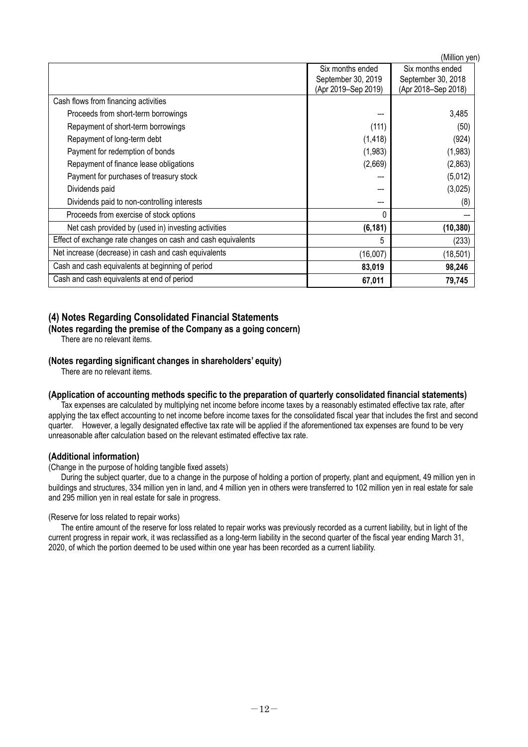(Million yen)

|                                                              |                     | uviiiiion ven       |
|--------------------------------------------------------------|---------------------|---------------------|
|                                                              | Six months ended    | Six months ended    |
|                                                              | September 30, 2019  | September 30, 2018  |
|                                                              | (Apr 2019-Sep 2019) | (Apr 2018-Sep 2018) |
| Cash flows from financing activities                         |                     |                     |
| Proceeds from short-term borrowings                          |                     | 3,485               |
| Repayment of short-term borrowings                           | (111)               | (50)                |
| Repayment of long-term debt                                  | (1, 418)            | (924)               |
| Payment for redemption of bonds                              | (1,983)             | (1,983)             |
| Repayment of finance lease obligations                       | (2,669)             | (2,863)             |
| Payment for purchases of treasury stock                      |                     | (5,012)             |
| Dividends paid                                               |                     | (3,025)             |
| Dividends paid to non-controlling interests                  |                     | (8)                 |
| Proceeds from exercise of stock options                      | 0                   |                     |
| Net cash provided by (used in) investing activities          | (6, 181)            | (10, 380)           |
| Effect of exchange rate changes on cash and cash equivalents | 5                   | (233)               |
| Net increase (decrease) in cash and cash equivalents         | (16,007)            | (18, 501)           |
| Cash and cash equivalents at beginning of period             | 83,019              | 98,246              |
| Cash and cash equivalents at end of period                   | 67,011              | 79,745              |
|                                                              |                     |                     |

## **(4) Notes Regarding Consolidated Financial Statements**

#### <span id="page-11-0"></span>**(Notes regarding the premise of the Company as a going concern)**

There are no relevant items.

#### <span id="page-11-1"></span>**(Notes regarding significant changes in shareholders' equity)**

There are no relevant items.

#### <span id="page-11-2"></span>**(Application of accounting methods specific to the preparation of quarterly consolidated financial statements)**

Tax expenses are calculated by multiplying net income before income taxes by a reasonably estimated effective tax rate, after applying the tax effect accounting to net income before income taxes for the consolidated fiscal year that includes the first and second quarter. However, a legally designated effective tax rate will be applied if the aforementioned tax expenses are found to be very unreasonable after calculation based on the relevant estimated effective tax rate.

#### **(Additional information)**

(Change in the purpose of holding tangible fixed assets)

During the subject quarter, due to a change in the purpose of holding a portion of property, plant and equipment, 49 million yen in buildings and structures, 334 million yen in land, and 4 million yen in others were transferred to 102 million yen in real estate for sale and 295 million yen in real estate for sale in progress.

#### (Reserve for loss related to repair works)

The entire amount of the reserve for loss related to repair works was previously recorded as a current liability, but in light of the current progress in repair work, it was reclassified as a long-term liability in the second quarter of the fiscal year ending March 31, 2020, of which the portion deemed to be used within one year has been recorded as a current liability.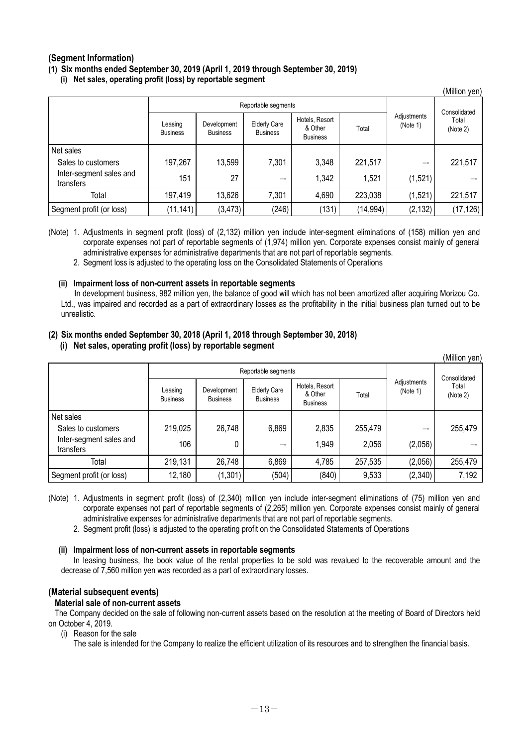### <span id="page-12-0"></span>**(Segment Information)**

**(1) Six months ended September 30, 2019 (April 1, 2019 through September 30, 2019)** 

**(i) Net sales, operating profit (loss) by reportable segment**

|                                      |                            |                                |                                        |                                              |           |                         | (Million yen)     |
|--------------------------------------|----------------------------|--------------------------------|----------------------------------------|----------------------------------------------|-----------|-------------------------|-------------------|
|                                      |                            | Reportable segments            |                                        |                                              |           |                         | Consolidated      |
|                                      | Leasing<br><b>Business</b> | Development<br><b>Business</b> | <b>Elderly Care</b><br><b>Business</b> | Hotels, Resort<br>& Other<br><b>Business</b> | Total     | Adjustments<br>(Note 1) | Total<br>(Note 2) |
| Net sales                            |                            |                                |                                        |                                              |           |                         |                   |
| Sales to customers                   | 197,267                    | 13,599                         | 7,301                                  | 3,348                                        | 221,517   |                         | 221,517           |
| Inter-segment sales and<br>transfers | 151                        | 27                             | --                                     | 1,342                                        | 1,521     | (1,521)                 |                   |
| Total                                | 197,419                    | 13,626                         | 7,301                                  | 4,690                                        | 223,038   | (1, 521)                | 221,517           |
| Segment profit (or loss)             | (11, 141)                  | (3, 473)                       | (246)                                  | (131)                                        | (14, 994) | (2, 132)                | (17, 126)         |

(Note) 1. Adjustments in segment profit (loss) of (2,132) million yen include inter-segment eliminations of (158) million yen and corporate expenses not part of reportable segments of (1,974) million yen. Corporate expenses consist mainly of general administrative expenses for administrative departments that are not part of reportable segments.

2. Segment loss is adjusted to the operating loss on the Consolidated Statements of Operations

#### **(ii) Impairment loss of non-current assets in reportable segments**

In development business, 982 million yen, the balance of good will which has not been amortized after acquiring Morizou Co. Ltd., was impaired and recorded as a part of extraordinary losses as the profitability in the initial business plan turned out to be unrealistic.

 $(M)$ llion yen)

### **(2) Six months ended September 30, 2018 (April 1, 2018 through September 30, 2018)**

#### **(i) Net sales, operating profit (loss) by reportable segment**

|                                      |                            |                                |                                        |                                              |         |                         | (ivililiofi yeri) |
|--------------------------------------|----------------------------|--------------------------------|----------------------------------------|----------------------------------------------|---------|-------------------------|-------------------|
|                                      | Reportable segments        |                                |                                        |                                              |         | Consolidated            |                   |
|                                      | Leasing<br><b>Business</b> | Development<br><b>Business</b> | <b>Elderly Care</b><br><b>Business</b> | Hotels, Resort<br>& Other<br><b>Business</b> | Total   | Adjustments<br>(Note 1) | Total<br>(Note 2) |
| Net sales                            |                            |                                |                                        |                                              |         |                         |                   |
| Sales to customers                   | 219,025                    | 26,748                         | 6,869                                  | 2,835                                        | 255,479 |                         | 255,479           |
| Inter-segment sales and<br>transfers | 106                        | 0                              | --                                     | 1,949                                        | 2,056   | (2,056)                 |                   |
| Total                                | 219,131                    | 26,748                         | 6,869                                  | 4,785                                        | 257,535 | (2,056)                 | 255,479           |
| Segment profit (or loss)             | 12,180                     | (1,301)                        | (504)                                  | (840)                                        | 9,533   | (2, 340)                | 7,192             |

<sup>(</sup>Note) 1. Adjustments in segment profit (loss) of (2,340) million yen include inter-segment eliminations of (75) million yen and corporate expenses not part of reportable segments of (2,265) million yen. Corporate expenses consist mainly of general administrative expenses for administrative departments that are not part of reportable segments.

2. Segment profit (loss) is adjusted to the operating profit on the Consolidated Statements of Operations

#### **(ii) Impairment loss of non-current assets in reportable segments**

In leasing business, the book value of the rental properties to be sold was revalued to the recoverable amount and the decrease of 7,560 million yen was recorded as a part of extraordinary losses.

## **(Material subsequent events)**

#### **Material sale of non-current assets**

The Company decided on the sale of following non-current assets based on the resolution at the meeting of Board of Directors held on October 4, 2019.

(i) Reason for the sale

The sale is intended for the Company to realize the efficient utilization of its resources and to strengthen the financial basis.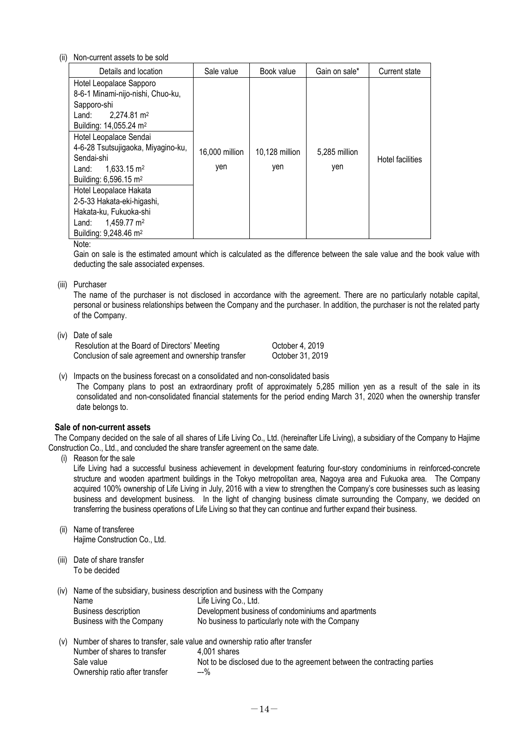#### (ii) Non-current assets to be sold

| Details and location                                                                                                                                                                                                                                                                                                                                                                                                                                                  | Sale value            | Book value            | Gain on sale*        | <b>Current state</b> |
|-----------------------------------------------------------------------------------------------------------------------------------------------------------------------------------------------------------------------------------------------------------------------------------------------------------------------------------------------------------------------------------------------------------------------------------------------------------------------|-----------------------|-----------------------|----------------------|----------------------|
| Hotel Leopalace Sapporo<br>8-6-1 Minami-nijo-nishi, Chuo-ku,<br>Sapporo-shi<br>$2,274.81 \text{ m}^2$<br>Land:<br>Building: 14,055.24 m <sup>2</sup><br>Hotel Leopalace Sendai<br>4-6-28 Tsutsujigaoka, Miyagino-ku,<br>Sendai-shi<br>$1,633.15 \text{ m}^2$<br>Land:<br>Building: 6,596.15 m <sup>2</sup><br>Hotel Leopalace Hakata<br>2-5-33 Hakata-eki-higashi,<br>Hakata-ku, Fukuoka-shi<br>1,459.77 m <sup>2</sup><br>Land:<br>Building: 9,248.46 m <sup>2</sup> | 16,000 million<br>yen | 10,128 million<br>yen | 5,285 million<br>yen | Hotel facilities     |

Note:

Gain on sale is the estimated amount which is calculated as the difference between the sale value and the book value with deducting the sale associated expenses.

(iii) Purchaser

The name of the purchaser is not disclosed in accordance with the agreement. There are no particularly notable capital, personal or business relationships between the Company and the purchaser. In addition, the purchaser is not the related party of the Company.

(iv) Date of sale

| Resolution at the Board of Directors' Meeting       | October 4, 2019  |
|-----------------------------------------------------|------------------|
| Conclusion of sale agreement and ownership transfer | October 31, 2019 |

(v) Impacts on the business forecast on a consolidated and non-consolidated basis The Company plans to post an extraordinary profit of approximately 5,285 million yen as a result of the sale in its consolidated and non-consolidated financial statements for the period ending March 31, 2020 when the ownership transfer date belongs to.

#### **Sale of non-current assets**

The Company decided on the sale of all shares of Life Living Co., Ltd. (hereinafter Life Living), a subsidiary of the Company to Hajime Construction Co., Ltd., and concluded the share transfer agreement on the same date.

(i) Reason for the sale

Life Living had a successful business achievement in development featuring four-story condominiums in reinforced-concrete structure and wooden apartment buildings in the Tokyo metropolitan area, Nagoya area and Fukuoka area. The Company acquired 100% ownership of Life Living in July, 2016 with a view to strengthen the Company's core businesses such as leasing business and development business. In the light of changing business climate surrounding the Company, we decided on transferring the business operations of Life Living so that they can continue and further expand their business.

(ii) Name of transferee Hajime Construction Co., Ltd.

Ownership ratio after transfer –-%

(iii) Date of share transfer To be decided

(iv) Name of the subsidiary, business description and business with the Company

| Name                                                                            | Life Living Co., Ltd.                                                    |  |  |
|---------------------------------------------------------------------------------|--------------------------------------------------------------------------|--|--|
| Business description                                                            | Development business of condominiums and apartments                      |  |  |
| Business with the Company                                                       | No business to particularly note with the Company                        |  |  |
| (v) Number of shares to transfer, sale value and ownership ratio after transfer |                                                                          |  |  |
| Number of shares to transfer                                                    | 4.001 shares                                                             |  |  |
| Sale value                                                                      | Not to be disclosed due to the agreement between the contracting parties |  |  |